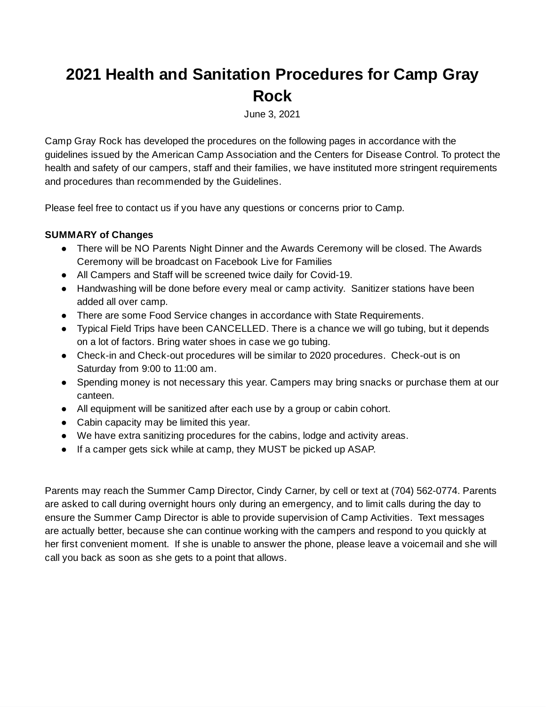# **2021 Health and Sanitation Procedures for Camp Gray Rock**

June 3, 2021

Camp Gray Rock has developed the procedures on the following pages in accordance with the guidelines issued by the American Camp Association and the Centers for Disease Control. To protect the health and safety of our campers, staff and their families, we have instituted more stringent requirements and procedures than recommended by the Guidelines.

Please feel free to contact us if you have any questions or concerns prior to Camp.

### **SUMMARY of Changes**

- There will be NO Parents Night Dinner and the Awards Ceremony will be closed. The Awards Ceremony will be broadcast on Facebook Live for Families
- All Campers and Staff will be screened twice daily for Covid-19.
- Handwashing will be done before every meal or camp activity. Sanitizer stations have been added all over camp.
- There are some Food Service changes in accordance with State Requirements.
- Typical Field Trips have been CANCELLED. There is a chance we will go tubing, but it depends on a lot of factors. Bring water shoes in case we go tubing.
- Check-in and Check-out procedures will be similar to 2020 procedures. Check-out is on Saturday from 9:00 to 11:00 am.
- Spending money is not necessary this year. Campers may bring snacks or purchase them at our canteen.
- All equipment will be sanitized after each use by a group or cabin cohort.
- Cabin capacity may be limited this year.
- We have extra sanitizing procedures for the cabins, lodge and activity areas.
- If a camper gets sick while at camp, they MUST be picked up ASAP.

Parents may reach the Summer Camp Director, Cindy Carner, by cell or text at (704) 562-0774. Parents are asked to call during overnight hours only during an emergency, and to limit calls during the day to ensure the Summer Camp Director is able to provide supervision of Camp Activities. Text messages are actually better, because she can continue working with the campers and respond to you quickly at her first convenient moment. If she is unable to answer the phone, please leave a voicemail and she will call you back as soon as she gets to a point that allows.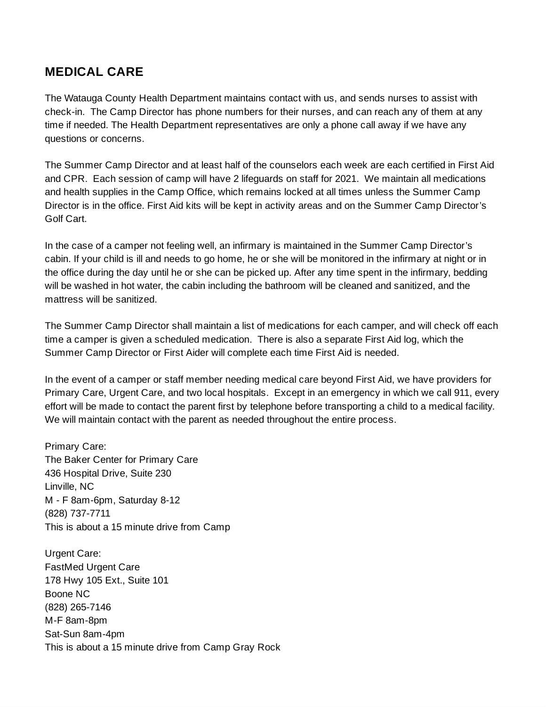### **MEDICAL CARE**

The Watauga County Health Department maintains contact with us, and sends nurses to assist with check-in. The Camp Director has phone numbers for their nurses, and can reach any of them at any time if needed. The Health Department representatives are only a phone call away if we have any questions or concerns.

The Summer Camp Director and at least half of the counselors each week are each certified in First Aid and CPR. Each session of camp will have 2 lifeguards on staff for 2021. We maintain all medications and health supplies in the Camp Office, which remains locked at all times unless the Summer Camp Director is in the office. First Aid kits will be kept in activity areas and on the Summer Camp Director's Golf Cart.

In the case of a camper not feeling well, an infirmary is maintained in the Summer Camp Director's cabin. If your child is ill and needs to go home, he or she will be monitored in the infirmary at night or in the office during the day until he or she can be picked up. After any time spent in the infirmary, bedding will be washed in hot water, the cabin including the bathroom will be cleaned and sanitized, and the mattress will be sanitized.

The Summer Camp Director shall maintain a list of medications for each camper, and will check off each time a camper is given a scheduled medication. There is also a separate First Aid log, which the Summer Camp Director or First Aider will complete each time First Aid is needed.

In the event of a camper or staff member needing medical care beyond First Aid, we have providers for Primary Care, Urgent Care, and two local hospitals. Except in an emergency in which we call 911, every effort will be made to contact the parent first by telephone before transporting a child to a medical facility. We will maintain contact with the parent as needed throughout the entire process.

Primary Care: The Baker Center for Primary Care 436 Hospital Drive, Suite 230 Linville, NC M - F 8am-6pm, Saturday 8-12 (828) 737-7711 This is about a 15 minute drive from Camp

Urgent Care: FastMed Urgent Care 178 Hwy 105 Ext., Suite 101 Boone NC (828) 265-7146 M-F 8am-8pm Sat-Sun 8am-4pm This is about a 15 minute drive from Camp Gray Rock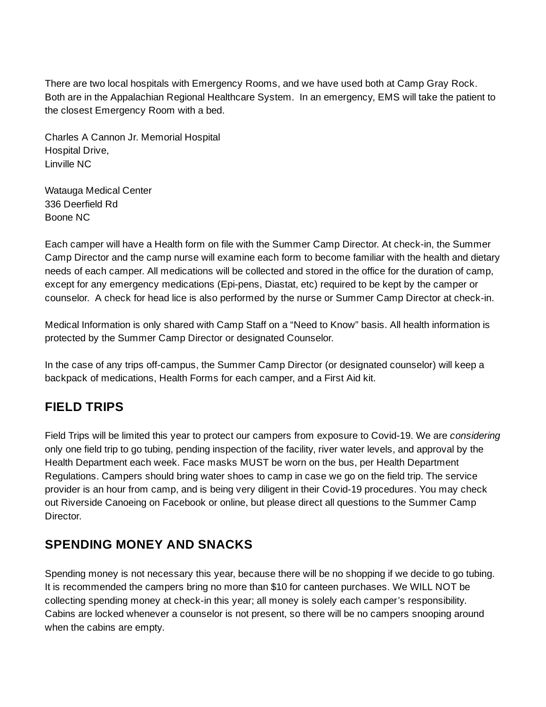There are two local hospitals with Emergency Rooms, and we have used both at Camp Gray Rock. Both are in the Appalachian Regional Healthcare System. In an emergency, EMS will take the patient to the closest Emergency Room with a bed.

Charles A Cannon Jr. Memorial Hospital Hospital Drive, Linville NC

Watauga Medical Center 336 Deerfield Rd Boone NC

Each camper will have a Health form on file with the Summer Camp Director. At check-in, the Summer Camp Director and the camp nurse will examine each form to become familiar with the health and dietary needs of each camper. All medications will be collected and stored in the office for the duration of camp, except for any emergency medications (Epi-pens, Diastat, etc) required to be kept by the camper or counselor. A check for head lice is also performed by the nurse or Summer Camp Director at check-in.

Medical Information is only shared with Camp Staff on a "Need to Know" basis. All health information is protected by the Summer Camp Director or designated Counselor.

In the case of any trips off-campus, the Summer Camp Director (or designated counselor) will keep a backpack of medications, Health Forms for each camper, and a First Aid kit.

# **FIELD TRIPS**

Field Trips will be limited this year to protect our campers from exposure to Covid-19. We are *considering* only one field trip to go tubing, pending inspection of the facility, river water levels, and approval by the Health Department each week. Face masks MUST be worn on the bus, per Health Department Regulations. Campers should bring water shoes to camp in case we go on the field trip. The service provider is an hour from camp, and is being very diligent in their Covid-19 procedures. You may check out Riverside Canoeing on Facebook or online, but please direct all questions to the Summer Camp Director.

# **SPENDING MONEY AND SNACKS**

Spending money is not necessary this year, because there will be no shopping if we decide to go tubing. It is recommended the campers bring no more than \$10 for canteen purchases. We WILL NOT be collecting spending money at check-in this year; all money is solely each camper's responsibility. Cabins are locked whenever a counselor is not present, so there will be no campers snooping around when the cabins are empty.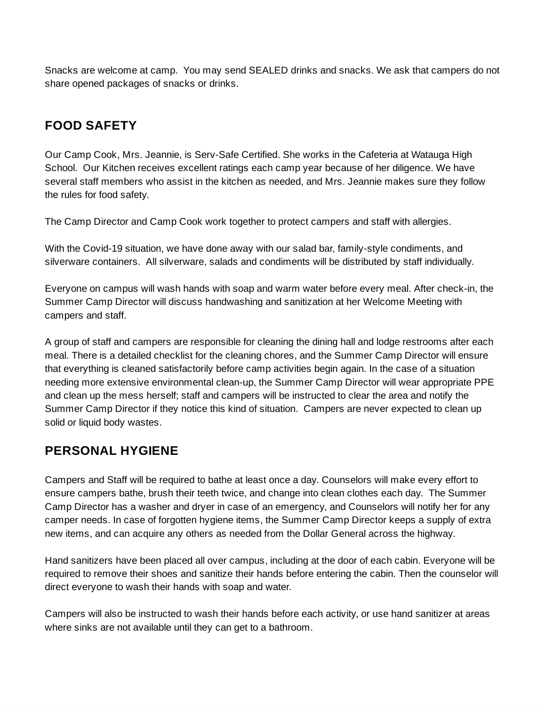Snacks are welcome at camp. You may send SEALED drinks and snacks. We ask that campers do not share opened packages of snacks or drinks.

# **FOOD SAFETY**

Our Camp Cook, Mrs. Jeannie, is Serv-Safe Certified. She works in the Cafeteria at Watauga High School. Our Kitchen receives excellent ratings each camp year because of her diligence. We have several staff members who assist in the kitchen as needed, and Mrs. Jeannie makes sure they follow the rules for food safety.

The Camp Director and Camp Cook work together to protect campers and staff with allergies.

With the Covid-19 situation, we have done away with our salad bar, family-style condiments, and silverware containers. All silverware, salads and condiments will be distributed by staff individually.

Everyone on campus will wash hands with soap and warm water before every meal. After check-in, the Summer Camp Director will discuss handwashing and sanitization at her Welcome Meeting with campers and staff.

A group of staff and campers are responsible for cleaning the dining hall and lodge restrooms after each meal. There is a detailed checklist for the cleaning chores, and the Summer Camp Director will ensure that everything is cleaned satisfactorily before camp activities begin again. In the case of a situation needing more extensive environmental clean-up, the Summer Camp Director will wear appropriate PPE and clean up the mess herself; staff and campers will be instructed to clear the area and notify the Summer Camp Director if they notice this kind of situation. Campers are never expected to clean up solid or liquid body wastes.

# **PERSONAL HYGIENE**

Campers and Staff will be required to bathe at least once a day. Counselors will make every effort to ensure campers bathe, brush their teeth twice, and change into clean clothes each day. The Summer Camp Director has a washer and dryer in case of an emergency, and Counselors will notify her for any camper needs. In case of forgotten hygiene items, the Summer Camp Director keeps a supply of extra new items, and can acquire any others as needed from the Dollar General across the highway.

Hand sanitizers have been placed all over campus, including at the door of each cabin. Everyone will be required to remove their shoes and sanitize their hands before entering the cabin. Then the counselor will direct everyone to wash their hands with soap and water.

Campers will also be instructed to wash their hands before each activity, or use hand sanitizer at areas where sinks are not available until they can get to a bathroom.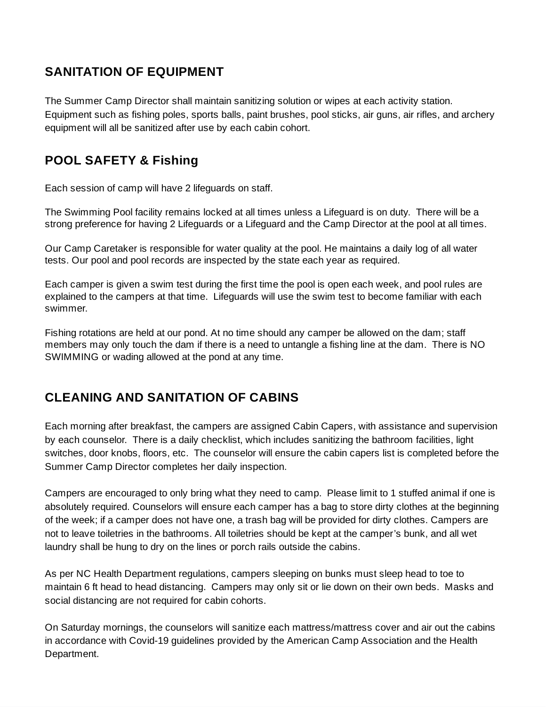# **SANITATION OF EQUIPMENT**

The Summer Camp Director shall maintain sanitizing solution or wipes at each activity station. Equipment such as fishing poles, sports balls, paint brushes, pool sticks, air guns, air rifles, and archery equipment will all be sanitized after use by each cabin cohort.

### **POOL SAFETY & Fishing**

Each session of camp will have 2 lifeguards on staff.

The Swimming Pool facility remains locked at all times unless a Lifeguard is on duty. There will be a strong preference for having 2 Lifeguards or a Lifeguard and the Camp Director at the pool at all times.

Our Camp Caretaker is responsible for water quality at the pool. He maintains a daily log of all water tests. Our pool and pool records are inspected by the state each year as required.

Each camper is given a swim test during the first time the pool is open each week, and pool rules are explained to the campers at that time. Lifeguards will use the swim test to become familiar with each swimmer.

Fishing rotations are held at our pond. At no time should any camper be allowed on the dam; staff members may only touch the dam if there is a need to untangle a fishing line at the dam. There is NO SWIMMING or wading allowed at the pond at any time.

### **CLEANING AND SANITATION OF CABINS**

Each morning after breakfast, the campers are assigned Cabin Capers, with assistance and supervision by each counselor. There is a daily checklist, which includes sanitizing the bathroom facilities, light switches, door knobs, floors, etc. The counselor will ensure the cabin capers list is completed before the Summer Camp Director completes her daily inspection.

Campers are encouraged to only bring what they need to camp. Please limit to 1 stuffed animal if one is absolutely required. Counselors will ensure each camper has a bag to store dirty clothes at the beginning of the week; if a camper does not have one, a trash bag will be provided for dirty clothes. Campers are not to leave toiletries in the bathrooms. All toiletries should be kept at the camper's bunk, and all wet laundry shall be hung to dry on the lines or porch rails outside the cabins.

As per NC Health Department regulations, campers sleeping on bunks must sleep head to toe to maintain 6 ft head to head distancing. Campers may only sit or lie down on their own beds. Masks and social distancing are not required for cabin cohorts.

On Saturday mornings, the counselors will sanitize each mattress/mattress cover and air out the cabins in accordance with Covid-19 guidelines provided by the American Camp Association and the Health Department.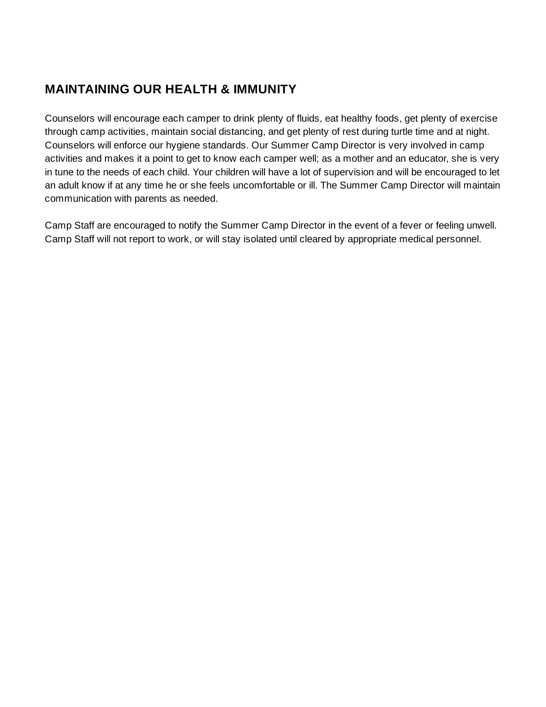### **MAINTAINING OUR HEALTH & IMMUNITY**

Counselors will encourage each camper to drink plenty of fluids, eat healthy foods, get plenty of exercise through camp activities, maintain social distancing, and get plenty of rest during turtle time and at night. Counselors will enforce our hygiene standards. Our Summer Camp Director is very involved in camp activities and makes it a point to get to know each camper well; as a mother and an educator, she is very in tune to the needs of each child. Your children will have a lot of supervision and will be encouraged to let an adult know if at any time he or she feels uncomfortable or ill. The Summer Camp Director will maintain communication with parents as needed.

Camp Staff are encouraged to notify the Summer Camp Director in the event of a fever or feeling unwell. Camp Staff will not report to work, or will stay isolated until cleared by appropriate medical personnel.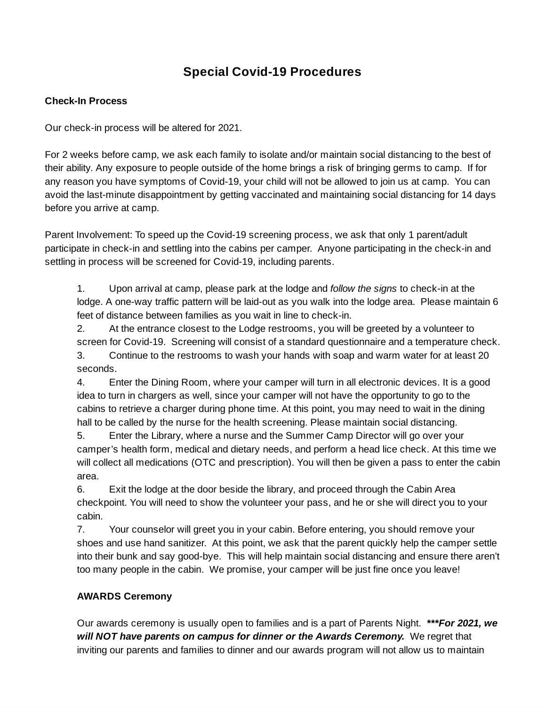# **Special Covid-19 Procedures**

#### **Check-In Process**

Our check-in process will be altered for 2021.

For 2 weeks before camp, we ask each family to isolate and/or maintain social distancing to the best of their ability. Any exposure to people outside of the home brings a risk of bringing germs to camp. If for any reason you have symptoms of Covid-19, your child will not be allowed to join us at camp. You can avoid the last-minute disappointment by getting vaccinated and maintaining social distancing for 14 days before you arrive at camp.

Parent Involvement: To speed up the Covid-19 screening process, we ask that only 1 parent/adult participate in check-in and settling into the cabins per camper. Anyone participating in the check-in and settling in process will be screened for Covid-19, including parents.

1. Upon arrival at camp, please park at the lodge and *follow the signs* to check-in at the lodge. A one-way traffic pattern will be laid-out as you walk into the lodge area. Please maintain 6 feet of distance between families as you wait in line to check-in.

2. At the entrance closest to the Lodge restrooms, you will be greeted by a volunteer to screen for Covid-19. Screening will consist of a standard questionnaire and a temperature check. 3. Continue to the restrooms to wash your hands with soap and warm water for at least 20 seconds.

4. Enter the Dining Room, where your camper will turn in all electronic devices. It is a good idea to turn in chargers as well, since your camper will not have the opportunity to go to the cabins to retrieve a charger during phone time. At this point, you may need to wait in the dining hall to be called by the nurse for the health screening. Please maintain social distancing.

5. Enter the Library, where a nurse and the Summer Camp Director will go over your camper's health form, medical and dietary needs, and perform a head lice check. At this time we will collect all medications (OTC and prescription). You will then be given a pass to enter the cabin area.

6. Exit the lodge at the door beside the library, and proceed through the Cabin Area checkpoint. You will need to show the volunteer your pass, and he or she will direct you to your cabin.

7. Your counselor will greet you in your cabin. Before entering, you should remove your shoes and use hand sanitizer. At this point, we ask that the parent quickly help the camper settle into their bunk and say good-bye. This will help maintain social distancing and ensure there aren't too many people in the cabin. We promise, your camper will be just fine once you leave!

### **AWARDS Ceremony**

Our awards ceremony is usually open to families and is a part of Parents Night. *\*\*\*For 2021, we will NOT have parents on campus for dinner or the Awards Ceremony.* We regret that inviting our parents and families to dinner and our awards program will not allow us to maintain